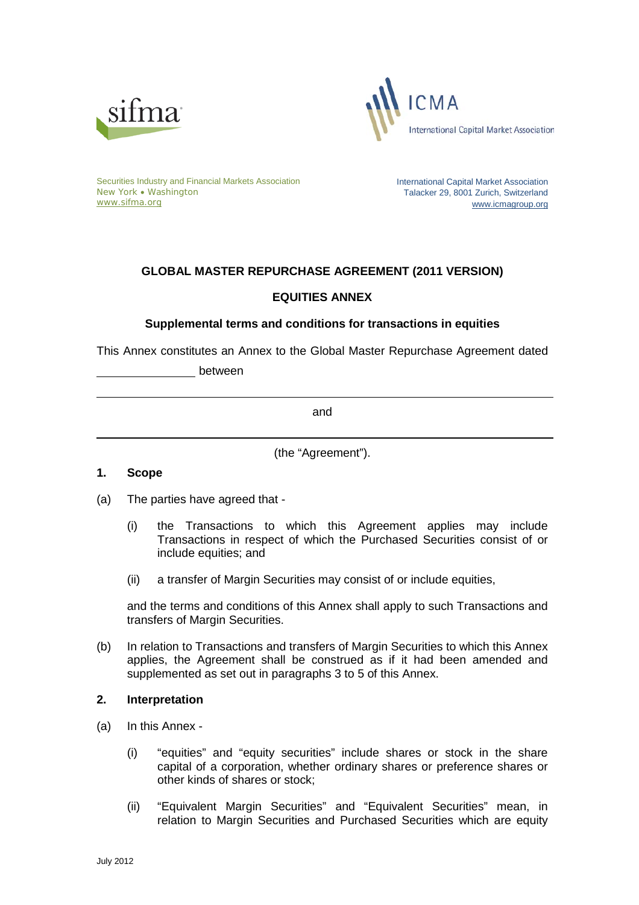



Securities Industry and Financial Markets Association New York • Washington [www.sifma.org](http://www.sifma.org/)

International Capital Market Association Talacker 29, 8001 Zurich, Switzerland [www.icmagroup.org](http://www.icmagroup.org/)

# **GLOBAL MASTER REPURCHASE AGREEMENT (2011 VERSION) EQUITIES ANNEX**

# **Supplemental terms and conditions for transactions in equities**

This Annex constitutes an Annex to the Global Master Repurchase Agreement dated

between

and

(the "Agreement").

# **1. Scope**

- (a) The parties have agreed that
	- (i) the Transactions to which this Agreement applies may include Transactions in respect of which the Purchased Securities consist of or include equities; and
	- (ii) a transfer of Margin Securities may consist of or include equities,

and the terms and conditions of this Annex shall apply to such Transactions and transfers of Margin Securities.

(b) In relation to Transactions and transfers of Margin Securities to which this Annex applies, the Agreement shall be construed as if it had been amended and supplemented as set out in paragraphs 3 to 5 of this Annex.

# **2. Interpretation**

- (a) In this Annex
	- (i) "equities" and "equity securities" include shares or stock in the share capital of a corporation, whether ordinary shares or preference shares or other kinds of shares or stock;
	- (ii) "Equivalent Margin Securities" and "Equivalent Securities" mean, in relation to Margin Securities and Purchased Securities which are equity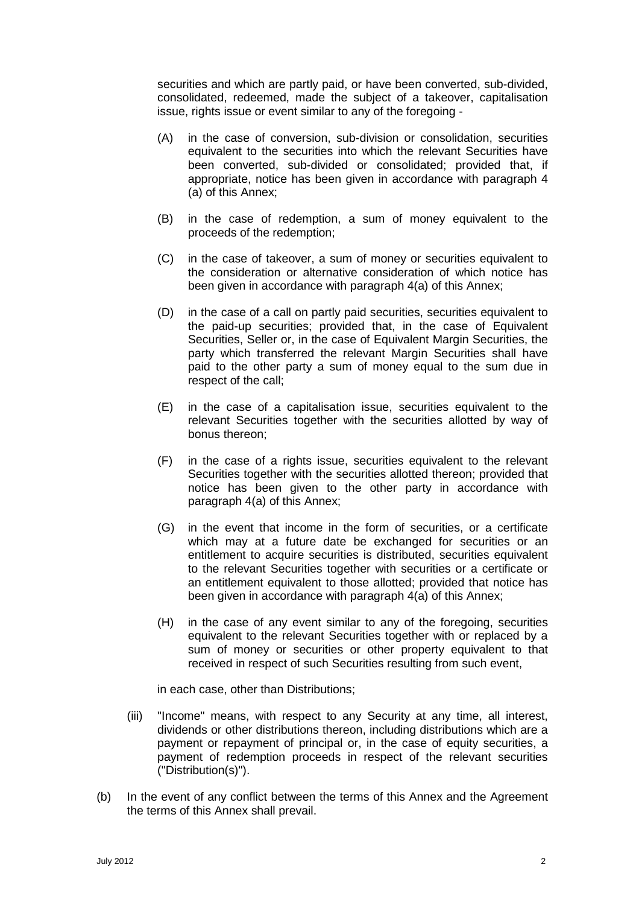securities and which are partly paid, or have been converted, sub-divided, consolidated, redeemed, made the subject of a takeover, capitalisation issue, rights issue or event similar to any of the foregoing -

- (A) in the case of conversion, sub-division or consolidation, securities equivalent to the securities into which the relevant Securities have been converted, sub-divided or consolidated; provided that, if appropriate, notice has been given in accordance with paragraph 4 (a) of this Annex;
- (B) in the case of redemption, a sum of money equivalent to the proceeds of the redemption;
- (C) in the case of takeover, a sum of money or securities equivalent to the consideration or alternative consideration of which notice has been given in accordance with paragraph 4(a) of this Annex;
- (D) in the case of a call on partly paid securities, securities equivalent to the paid-up securities; provided that, in the case of Equivalent Securities, Seller or, in the case of Equivalent Margin Securities, the party which transferred the relevant Margin Securities shall have paid to the other party a sum of money equal to the sum due in respect of the call;
- (E) in the case of a capitalisation issue, securities equivalent to the relevant Securities together with the securities allotted by way of bonus thereon;
- (F) in the case of a rights issue, securities equivalent to the relevant Securities together with the securities allotted thereon; provided that notice has been given to the other party in accordance with paragraph 4(a) of this Annex;
- (G) in the event that income in the form of securities, or a certificate which may at a future date be exchanged for securities or an entitlement to acquire securities is distributed, securities equivalent to the relevant Securities together with securities or a certificate or an entitlement equivalent to those allotted; provided that notice has been given in accordance with paragraph 4(a) of this Annex;
- (H) in the case of any event similar to any of the foregoing, securities equivalent to the relevant Securities together with or replaced by a sum of money or securities or other property equivalent to that received in respect of such Securities resulting from such event,

in each case, other than Distributions;

- (iii) "Income" means, with respect to any Security at any time, all interest, dividends or other distributions thereon, including distributions which are a payment or repayment of principal or, in the case of equity securities, a payment of redemption proceeds in respect of the relevant securities ("Distribution(s)").
- (b) In the event of any conflict between the terms of this Annex and the Agreement the terms of this Annex shall prevail.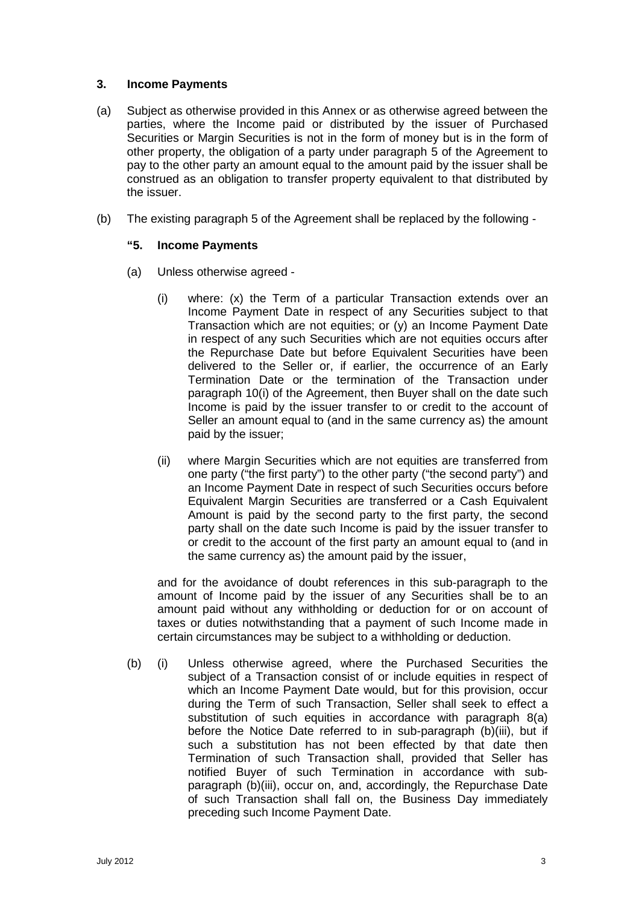#### **3. Income Payments**

- (a) Subject as otherwise provided in this Annex or as otherwise agreed between the parties, where the Income paid or distributed by the issuer of Purchased Securities or Margin Securities is not in the form of money but is in the form of other property, the obligation of a party under paragraph 5 of the Agreement to pay to the other party an amount equal to the amount paid by the issuer shall be construed as an obligation to transfer property equivalent to that distributed by the issuer.
- (b) The existing paragraph 5 of the Agreement shall be replaced by the following -

#### **"5. Income Payments**

- (a) Unless otherwise agreed
	- (i) where: (x) the Term of a particular Transaction extends over an Income Payment Date in respect of any Securities subject to that Transaction which are not equities; or (y) an Income Payment Date in respect of any such Securities which are not equities occurs after the Repurchase Date but before Equivalent Securities have been delivered to the Seller or, if earlier, the occurrence of an Early Termination Date or the termination of the Transaction under paragraph 10(i) of the Agreement, then Buyer shall on the date such Income is paid by the issuer transfer to or credit to the account of Seller an amount equal to (and in the same currency as) the amount paid by the issuer;
	- (ii) where Margin Securities which are not equities are transferred from one party ("the first party") to the other party ("the second party") and an Income Payment Date in respect of such Securities occurs before Equivalent Margin Securities are transferred or a Cash Equivalent Amount is paid by the second party to the first party, the second party shall on the date such Income is paid by the issuer transfer to or credit to the account of the first party an amount equal to (and in the same currency as) the amount paid by the issuer,

and for the avoidance of doubt references in this sub-paragraph to the amount of Income paid by the issuer of any Securities shall be to an amount paid without any withholding or deduction for or on account of taxes or duties notwithstanding that a payment of such Income made in certain circumstances may be subject to a withholding or deduction.

(b) (i) Unless otherwise agreed, where the Purchased Securities the subject of a Transaction consist of or include equities in respect of which an Income Payment Date would, but for this provision, occur during the Term of such Transaction, Seller shall seek to effect a substitution of such equities in accordance with paragraph 8(a) before the Notice Date referred to in sub-paragraph (b)(iii), but if such a substitution has not been effected by that date then Termination of such Transaction shall, provided that Seller has notified Buyer of such Termination in accordance with subparagraph (b)(iii), occur on, and, accordingly, the Repurchase Date of such Transaction shall fall on, the Business Day immediately preceding such Income Payment Date.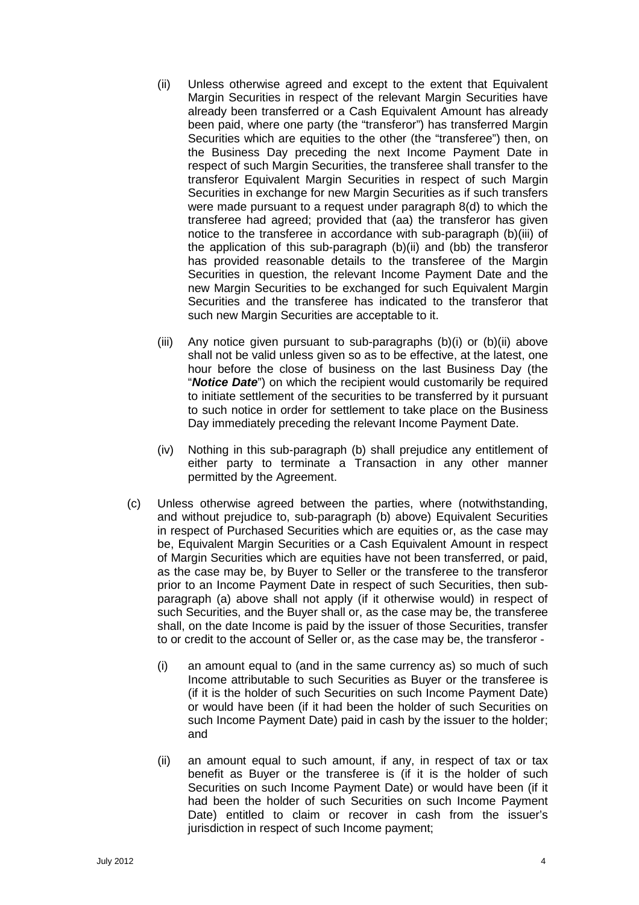- (ii) Unless otherwise agreed and except to the extent that Equivalent Margin Securities in respect of the relevant Margin Securities have already been transferred or a Cash Equivalent Amount has already been paid, where one party (the "transferor") has transferred Margin Securities which are equities to the other (the "transferee") then, on the Business Day preceding the next Income Payment Date in respect of such Margin Securities, the transferee shall transfer to the transferor Equivalent Margin Securities in respect of such Margin Securities in exchange for new Margin Securities as if such transfers were made pursuant to a request under paragraph 8(d) to which the transferee had agreed; provided that (aa) the transferor has given notice to the transferee in accordance with sub-paragraph (b)(iii) of the application of this sub-paragraph (b)(ii) and (bb) the transferor has provided reasonable details to the transferee of the Margin Securities in question, the relevant Income Payment Date and the new Margin Securities to be exchanged for such Equivalent Margin Securities and the transferee has indicated to the transferor that such new Margin Securities are acceptable to it.
- (iii) Any notice given pursuant to sub-paragraphs  $(b)(i)$  or  $(b)(ii)$  above shall not be valid unless given so as to be effective, at the latest, one hour before the close of business on the last Business Day (the "*Notice Date*") on which the recipient would customarily be required to initiate settlement of the securities to be transferred by it pursuant to such notice in order for settlement to take place on the Business Day immediately preceding the relevant Income Payment Date.
- (iv) Nothing in this sub-paragraph (b) shall prejudice any entitlement of either party to terminate a Transaction in any other manner permitted by the Agreement.
- (c) Unless otherwise agreed between the parties, where (notwithstanding, and without prejudice to, sub-paragraph (b) above) Equivalent Securities in respect of Purchased Securities which are equities or, as the case may be, Equivalent Margin Securities or a Cash Equivalent Amount in respect of Margin Securities which are equities have not been transferred, or paid, as the case may be, by Buyer to Seller or the transferee to the transferor prior to an Income Payment Date in respect of such Securities, then subparagraph (a) above shall not apply (if it otherwise would) in respect of such Securities, and the Buyer shall or, as the case may be, the transferee shall, on the date Income is paid by the issuer of those Securities, transfer to or credit to the account of Seller or, as the case may be, the transferor -
	- (i) an amount equal to (and in the same currency as) so much of such Income attributable to such Securities as Buyer or the transferee is (if it is the holder of such Securities on such Income Payment Date) or would have been (if it had been the holder of such Securities on such Income Payment Date) paid in cash by the issuer to the holder; and
	- (ii) an amount equal to such amount, if any, in respect of tax or tax benefit as Buyer or the transferee is (if it is the holder of such Securities on such Income Payment Date) or would have been (if it had been the holder of such Securities on such Income Payment Date) entitled to claim or recover in cash from the issuer's jurisdiction in respect of such Income payment;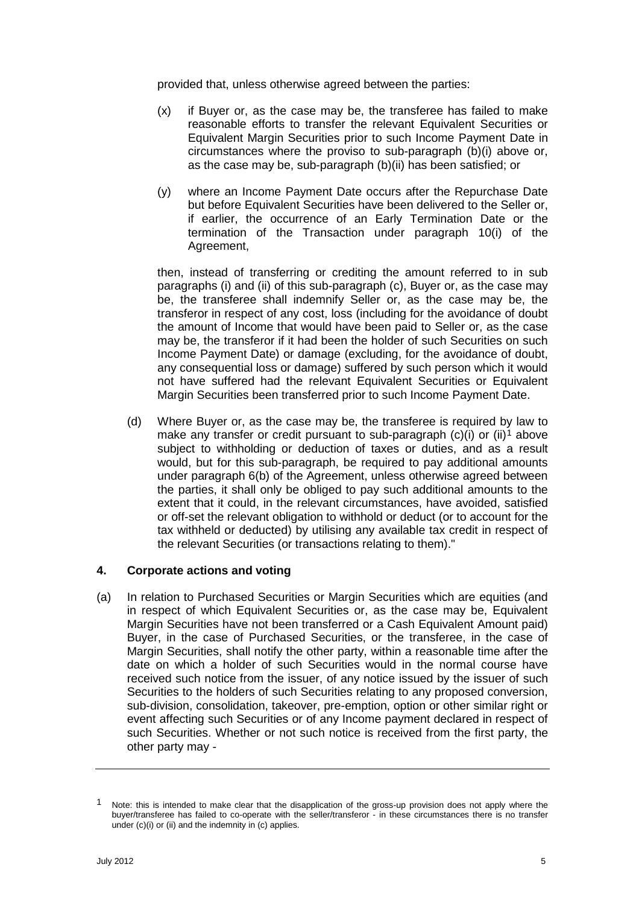provided that, unless otherwise agreed between the parties:

- (x) if Buyer or, as the case may be, the transferee has failed to make reasonable efforts to transfer the relevant Equivalent Securities or Equivalent Margin Securities prior to such Income Payment Date in circumstances where the proviso to sub-paragraph (b)(i) above or, as the case may be, sub-paragraph (b)(ii) has been satisfied; or
- (y) where an Income Payment Date occurs after the Repurchase Date but before Equivalent Securities have been delivered to the Seller or, if earlier, the occurrence of an Early Termination Date or the termination of the Transaction under paragraph 10(i) of the Agreement,

then, instead of transferring or crediting the amount referred to in sub paragraphs (i) and (ii) of this sub-paragraph (c), Buyer or, as the case may be, the transferee shall indemnify Seller or, as the case may be, the transferor in respect of any cost, loss (including for the avoidance of doubt the amount of Income that would have been paid to Seller or, as the case may be, the transferor if it had been the holder of such Securities on such Income Payment Date) or damage (excluding, for the avoidance of doubt, any consequential loss or damage) suffered by such person which it would not have suffered had the relevant Equivalent Securities or Equivalent Margin Securities been transferred prior to such Income Payment Date.

(d) Where Buyer or, as the case may be, the transferee is required by law to make any transfer or credit pursuant to sub-paragraph  $(c)(i)$  or  $(ii)^1$  $(ii)^1$  above subject to withholding or deduction of taxes or duties, and as a result would, but for this sub-paragraph, be required to pay additional amounts under paragraph 6(b) of the Agreement, unless otherwise agreed between the parties, it shall only be obliged to pay such additional amounts to the extent that it could, in the relevant circumstances, have avoided, satisfied or off-set the relevant obligation to withhold or deduct (or to account for the tax withheld or deducted) by utilising any available tax credit in respect of the relevant Securities (or transactions relating to them)."

#### **4. Corporate actions and voting**

(a) In relation to Purchased Securities or Margin Securities which are equities (and in respect of which Equivalent Securities or, as the case may be, Equivalent Margin Securities have not been transferred or a Cash Equivalent Amount paid) Buyer, in the case of Purchased Securities, or the transferee, in the case of Margin Securities, shall notify the other party, within a reasonable time after the date on which a holder of such Securities would in the normal course have received such notice from the issuer, of any notice issued by the issuer of such Securities to the holders of such Securities relating to any proposed conversion, sub-division, consolidation, takeover, pre-emption, option or other similar right or event affecting such Securities or of any Income payment declared in respect of such Securities. Whether or not such notice is received from the first party, the other party may -

<span id="page-4-0"></span>Note: this is intended to make clear that the disapplication of the gross-up provision does not apply where the buyer/transferee has failed to co-operate with the seller/transferor - in these circumstances there is no transfer under (c)(i) or (ii) and the indemnity in (c) applies.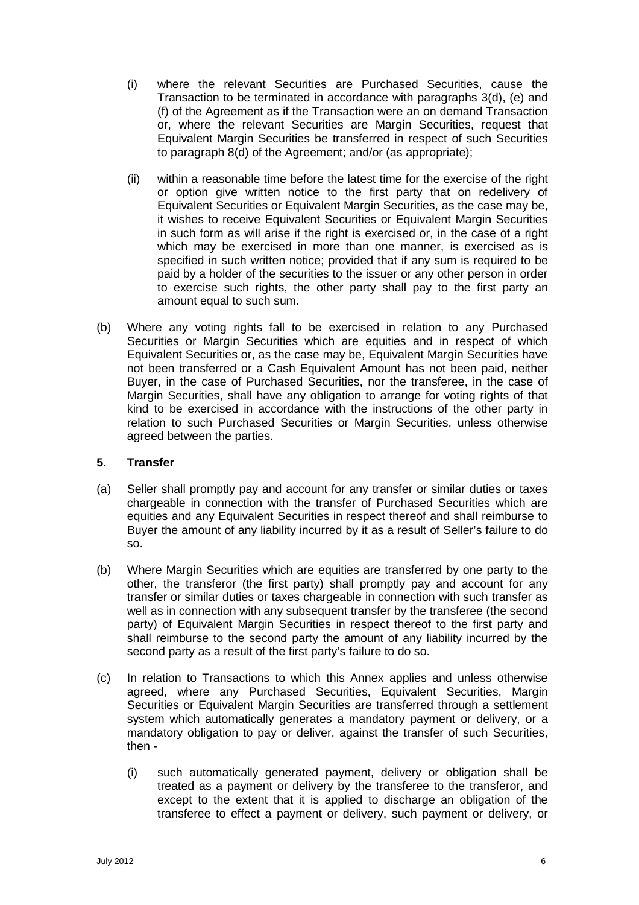- (i) where the relevant Securities are Purchased Securities, cause the Transaction to be terminated in accordance with paragraphs 3(d), (e) and (f) of the Agreement as if the Transaction were an on demand Transaction or, where the relevant Securities are Margin Securities, request that Equivalent Margin Securities be transferred in respect of such Securities to paragraph 8(d) of the Agreement; and/or (as appropriate);
- (ii) within a reasonable time before the latest time for the exercise of the right or option give written notice to the first party that on redelivery of Equivalent Securities or Equivalent Margin Securities, as the case may be, it wishes to receive Equivalent Securities or Equivalent Margin Securities in such form as will arise if the right is exercised or, in the case of a right which may be exercised in more than one manner, is exercised as is specified in such written notice; provided that if any sum is required to be paid by a holder of the securities to the issuer or any other person in order to exercise such rights, the other party shall pay to the first party an amount equal to such sum.
- (b) Where any voting rights fall to be exercised in relation to any Purchased Securities or Margin Securities which are equities and in respect of which Equivalent Securities or, as the case may be, Equivalent Margin Securities have not been transferred or a Cash Equivalent Amount has not been paid, neither Buyer, in the case of Purchased Securities, nor the transferee, in the case of Margin Securities, shall have any obligation to arrange for voting rights of that kind to be exercised in accordance with the instructions of the other party in relation to such Purchased Securities or Margin Securities, unless otherwise agreed between the parties.

# **5. Transfer**

- (a) Seller shall promptly pay and account for any transfer or similar duties or taxes chargeable in connection with the transfer of Purchased Securities which are equities and any Equivalent Securities in respect thereof and shall reimburse to Buyer the amount of any liability incurred by it as a result of Seller's failure to do so.
- (b) Where Margin Securities which are equities are transferred by one party to the other, the transferor (the first party) shall promptly pay and account for any transfer or similar duties or taxes chargeable in connection with such transfer as well as in connection with any subsequent transfer by the transferee (the second party) of Equivalent Margin Securities in respect thereof to the first party and shall reimburse to the second party the amount of any liability incurred by the second party as a result of the first party's failure to do so.
- (c) In relation to Transactions to which this Annex applies and unless otherwise agreed, where any Purchased Securities, Equivalent Securities, Margin Securities or Equivalent Margin Securities are transferred through a settlement system which automatically generates a mandatory payment or delivery, or a mandatory obligation to pay or deliver, against the transfer of such Securities, then -
	- (i) such automatically generated payment, delivery or obligation shall be treated as a payment or delivery by the transferee to the transferor, and except to the extent that it is applied to discharge an obligation of the transferee to effect a payment or delivery, such payment or delivery, or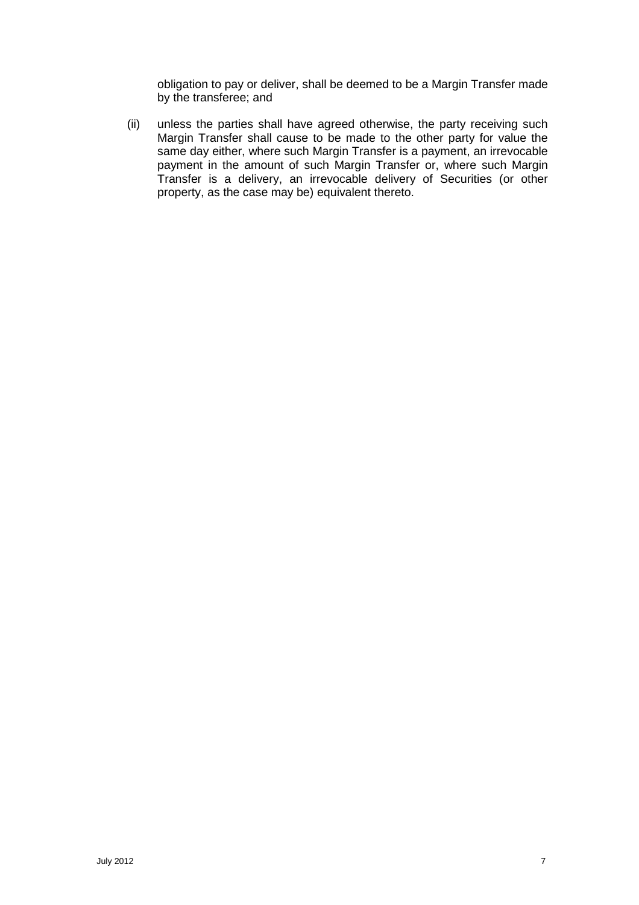obligation to pay or deliver, shall be deemed to be a Margin Transfer made by the transferee; and

(ii) unless the parties shall have agreed otherwise, the party receiving such Margin Transfer shall cause to be made to the other party for value the same day either, where such Margin Transfer is a payment, an irrevocable payment in the amount of such Margin Transfer or, where such Margin Transfer is a delivery, an irrevocable delivery of Securities (or other property, as the case may be) equivalent thereto.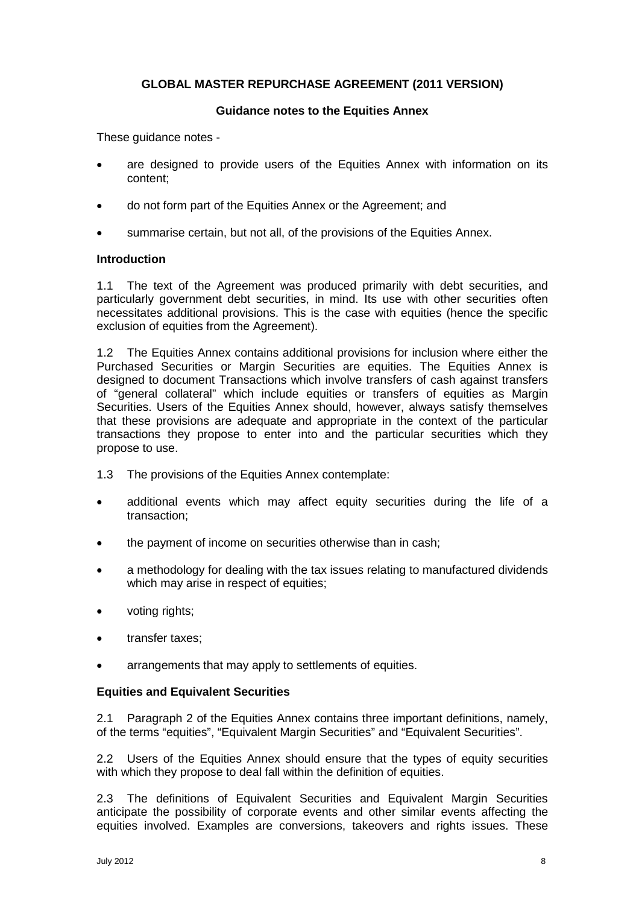# **GLOBAL MASTER REPURCHASE AGREEMENT (2011 VERSION)**

#### **Guidance notes to the Equities Annex**

These guidance notes -

- are designed to provide users of the Equities Annex with information on its content;
- do not form part of the Equities Annex or the Agreement; and
- summarise certain, but not all, of the provisions of the Equities Annex.

# **Introduction**

1.1 The text of the Agreement was produced primarily with debt securities, and particularly government debt securities, in mind. Its use with other securities often necessitates additional provisions. This is the case with equities (hence the specific exclusion of equities from the Agreement).

1.2 The Equities Annex contains additional provisions for inclusion where either the Purchased Securities or Margin Securities are equities. The Equities Annex is designed to document Transactions which involve transfers of cash against transfers of "general collateral" which include equities or transfers of equities as Margin Securities. Users of the Equities Annex should, however, always satisfy themselves that these provisions are adequate and appropriate in the context of the particular transactions they propose to enter into and the particular securities which they propose to use.

- 1.3 The provisions of the Equities Annex contemplate:
- additional events which may affect equity securities during the life of a transaction;
- the payment of income on securities otherwise than in cash;
- a methodology for dealing with the tax issues relating to manufactured dividends which may arise in respect of equities;
- voting rights;
- transfer taxes;
- arrangements that may apply to settlements of equities.

# **Equities and Equivalent Securities**

2.1 Paragraph 2 of the Equities Annex contains three important definitions, namely, of the terms "equities", "Equivalent Margin Securities" and "Equivalent Securities".

2.2 Users of the Equities Annex should ensure that the types of equity securities with which they propose to deal fall within the definition of equities.

2.3 The definitions of Equivalent Securities and Equivalent Margin Securities anticipate the possibility of corporate events and other similar events affecting the equities involved. Examples are conversions, takeovers and rights issues. These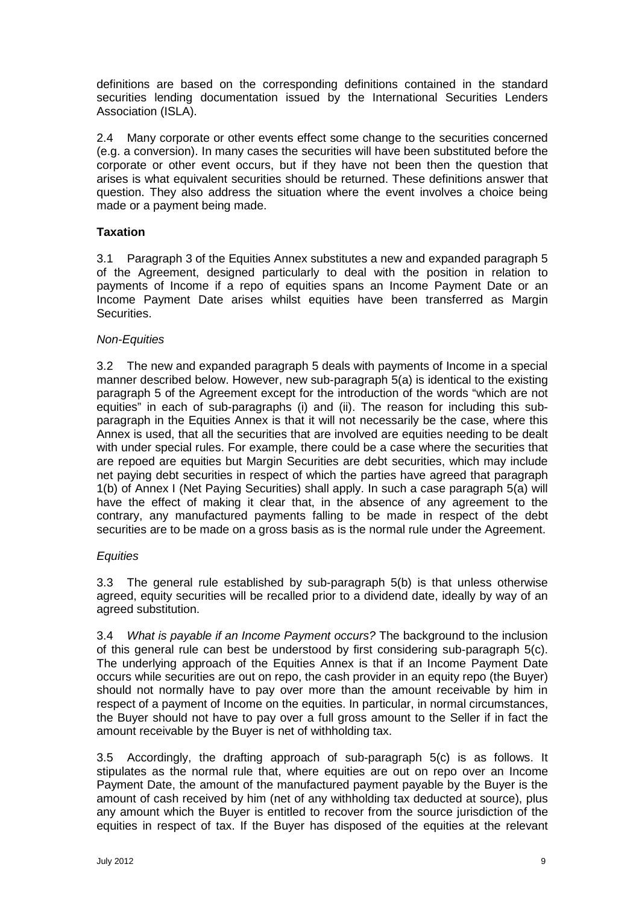definitions are based on the corresponding definitions contained in the standard securities lending documentation issued by the International Securities Lenders Association (ISLA).

2.4 Many corporate or other events effect some change to the securities concerned (e.g. a conversion). In many cases the securities will have been substituted before the corporate or other event occurs, but if they have not been then the question that arises is what equivalent securities should be returned. These definitions answer that question. They also address the situation where the event involves a choice being made or a payment being made.

# **Taxation**

3.1 Paragraph 3 of the Equities Annex substitutes a new and expanded paragraph 5 of the Agreement, designed particularly to deal with the position in relation to payments of Income if a repo of equities spans an Income Payment Date or an Income Payment Date arises whilst equities have been transferred as Margin Securities.

# *Non-Equities*

3.2 The new and expanded paragraph 5 deals with payments of Income in a special manner described below. However, new sub-paragraph 5(a) is identical to the existing paragraph 5 of the Agreement except for the introduction of the words "which are not equities" in each of sub-paragraphs (i) and (ii). The reason for including this subparagraph in the Equities Annex is that it will not necessarily be the case, where this Annex is used, that all the securities that are involved are equities needing to be dealt with under special rules. For example, there could be a case where the securities that are repoed are equities but Margin Securities are debt securities, which may include net paying debt securities in respect of which the parties have agreed that paragraph 1(b) of Annex I (Net Paying Securities) shall apply. In such a case paragraph 5(a) will have the effect of making it clear that, in the absence of any agreement to the contrary, any manufactured payments falling to be made in respect of the debt securities are to be made on a gross basis as is the normal rule under the Agreement.

# *Equities*

3.3 The general rule established by sub-paragraph 5(b) is that unless otherwise agreed, equity securities will be recalled prior to a dividend date, ideally by way of an agreed substitution.

3.4 *What is payable if an Income Payment occurs?* The background to the inclusion of this general rule can best be understood by first considering sub-paragraph 5(c). The underlying approach of the Equities Annex is that if an Income Payment Date occurs while securities are out on repo, the cash provider in an equity repo (the Buyer) should not normally have to pay over more than the amount receivable by him in respect of a payment of Income on the equities. In particular, in normal circumstances, the Buyer should not have to pay over a full gross amount to the Seller if in fact the amount receivable by the Buyer is net of withholding tax.

3.5 Accordingly, the drafting approach of sub-paragraph 5(c) is as follows. It stipulates as the normal rule that, where equities are out on repo over an Income Payment Date, the amount of the manufactured payment payable by the Buyer is the amount of cash received by him (net of any withholding tax deducted at source), plus any amount which the Buyer is entitled to recover from the source jurisdiction of the equities in respect of tax. If the Buyer has disposed of the equities at the relevant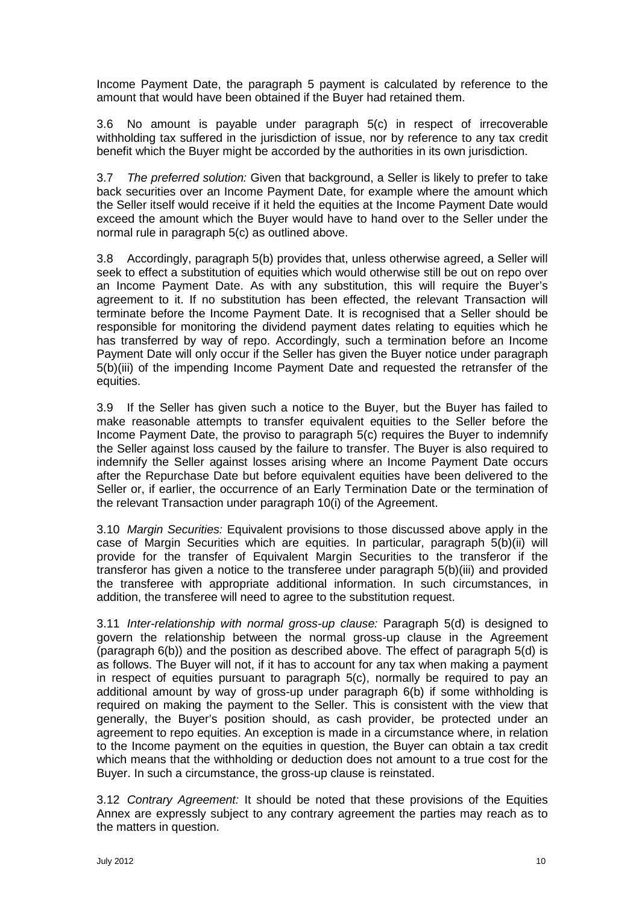Income Payment Date, the paragraph 5 payment is calculated by reference to the amount that would have been obtained if the Buyer had retained them.

3.6 No amount is payable under paragraph 5(c) in respect of irrecoverable withholding tax suffered in the jurisdiction of issue, nor by reference to any tax credit benefit which the Buyer might be accorded by the authorities in its own jurisdiction.

3.7 *The preferred solution:* Given that background, a Seller is likely to prefer to take back securities over an Income Payment Date, for example where the amount which the Seller itself would receive if it held the equities at the Income Payment Date would exceed the amount which the Buyer would have to hand over to the Seller under the normal rule in paragraph 5(c) as outlined above.

3.8 Accordingly, paragraph 5(b) provides that, unless otherwise agreed, a Seller will seek to effect a substitution of equities which would otherwise still be out on repo over an Income Payment Date. As with any substitution, this will require the Buyer's agreement to it. If no substitution has been effected, the relevant Transaction will terminate before the Income Payment Date. It is recognised that a Seller should be responsible for monitoring the dividend payment dates relating to equities which he has transferred by way of repo. Accordingly, such a termination before an Income Payment Date will only occur if the Seller has given the Buyer notice under paragraph 5(b)(iii) of the impending Income Payment Date and requested the retransfer of the equities.

3.9 If the Seller has given such a notice to the Buyer, but the Buyer has failed to make reasonable attempts to transfer equivalent equities to the Seller before the Income Payment Date, the proviso to paragraph 5(c) requires the Buyer to indemnify the Seller against loss caused by the failure to transfer. The Buyer is also required to indemnify the Seller against losses arising where an Income Payment Date occurs after the Repurchase Date but before equivalent equities have been delivered to the Seller or, if earlier, the occurrence of an Early Termination Date or the termination of the relevant Transaction under paragraph 10(i) of the Agreement.

3.10 *Margin Securities:* Equivalent provisions to those discussed above apply in the case of Margin Securities which are equities. In particular, paragraph 5(b)(ii) will provide for the transfer of Equivalent Margin Securities to the transferor if the transferor has given a notice to the transferee under paragraph 5(b)(iii) and provided the transferee with appropriate additional information. In such circumstances, in addition, the transferee will need to agree to the substitution request.

3.11 *Inter-relationship with normal gross-up clause:* Paragraph 5(d) is designed to govern the relationship between the normal gross-up clause in the Agreement (paragraph 6(b)) and the position as described above. The effect of paragraph 5(d) is as follows. The Buyer will not, if it has to account for any tax when making a payment in respect of equities pursuant to paragraph 5(c), normally be required to pay an additional amount by way of gross-up under paragraph 6(b) if some withholding is required on making the payment to the Seller. This is consistent with the view that generally, the Buyer's position should, as cash provider, be protected under an agreement to repo equities. An exception is made in a circumstance where, in relation to the Income payment on the equities in question, the Buyer can obtain a tax credit which means that the withholding or deduction does not amount to a true cost for the Buyer. In such a circumstance, the gross-up clause is reinstated.

3.12 *Contrary Agreement:* It should be noted that these provisions of the Equities Annex are expressly subject to any contrary agreement the parties may reach as to the matters in question.